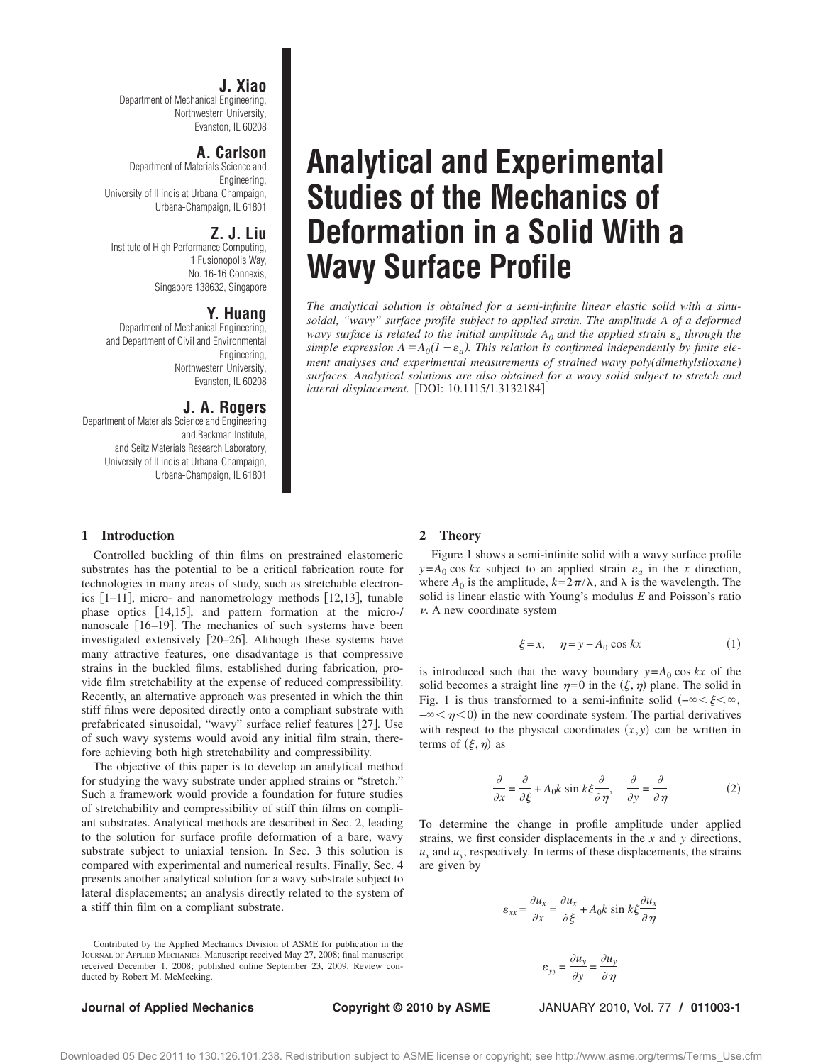### **J. Xiao**

Department of Mechanical Engineering, Northwestern University, Evanston, IL 60208

# **A. Carlson**

Department of Materials Science and Engineering, University of Illinois at Urbana-Champaign, Urbana-Champaign, IL 61801

### **Z. J. Liu**

Institute of High Performance Computing, 1 Fusionopolis Way, No. 16-16 Connexis, Singapore 138632, Singapore

# **Y. Huang**

Department of Mechanical Engineering, and Department of Civil and Environmental Engineering, Northwestern University, Evanston, IL 60208

# **J. A. Rogers**

Department of Materials Science and Engineering and Beckman Institute, and Seitz Materials Research Laboratory, University of Illinois at Urbana-Champaign, Urbana-Champaign, IL 61801

#### **1 Introduction**

Controlled buckling of thin films on prestrained elastomeric substrates has the potential to be a critical fabrication route for technologies in many areas of study, such as stretchable electronics  $[1-11]$ , micro- and nanometrology methods  $[12,13]$ , tunable phase optics [14,15], and pattern formation at the micro-/ nanoscale [16–19]. The mechanics of such systems have been investigated extensively [20–26]. Although these systems have many attractive features, one disadvantage is that compressive strains in the buckled films, established during fabrication, provide film stretchability at the expense of reduced compressibility. Recently, an alternative approach was presented in which the thin stiff films were deposited directly onto a compliant substrate with prefabricated sinusoidal, "wavy" surface relief features [27]. Use of such wavy systems would avoid any initial film strain, therefore achieving both high stretchability and compressibility.

The objective of this paper is to develop an analytical method for studying the wavy substrate under applied strains or "stretch." Such a framework would provide a foundation for future studies of stretchability and compressibility of stiff thin films on compliant substrates. Analytical methods are described in Sec. 2, leading to the solution for surface profile deformation of a bare, wavy substrate subject to uniaxial tension. In Sec. 3 this solution is compared with experimental and numerical results. Finally, Sec. 4 presents another analytical solution for a wavy substrate subject to lateral displacements; an analysis directly related to the system of a stiff thin film on a compliant substrate.

# **Analytical and Experimental Studies of the Mechanics of Deformation in a Solid With a Wavy Surface Profile**

*The analytical solution is obtained for a semi-infinite linear elastic solid with a sinusoidal, "wavy" surface profile subject to applied strain. The amplitude A of a deformed* wavy surface is related to the initial amplitude  $A_0$  and the applied strain  $\varepsilon_a$  through the simple expression  $A = A_0 (I - \varepsilon_a)$ . This relation is confirmed independently by finite ele*ment analyses and experimental measurements of strained wavy poly(dimethylsiloxane) surfaces. Analytical solutions are also obtained for a wavy solid subject to stretch and lateral displacement.* [DOI: 10.1115/1.3132184]

#### **2 Theory**

Figure 1 shows a semi-infinite solid with a wavy surface profile  $y = A_0 \cos kx$  subject to an applied strain  $\varepsilon_a$  in the *x* direction, where  $A_0$  is the amplitude,  $k = 2\pi/\lambda$ , and  $\lambda$  is the wavelength. The solid is linear elastic with Young's modulus *E* and Poisson's ratio  $\nu$ . A new coordinate system

$$
\xi = x, \quad \eta = y - A_0 \cos kx \tag{1}
$$

is introduced such that the wavy boundary  $y = A_0 \cos kx$  of the solid becomes a straight line  $\eta = 0$  in the  $(\xi, \eta)$  plane. The solid in Fig. 1 is thus transformed to a semi-infinite solid  $(-\infty < \xi < \infty)$ ,  $-\infty < \eta < 0$ ) in the new coordinate system. The partial derivatives with respect to the physical coordinates  $(x, y)$  can be written in terms of  $(\xi, \eta)$  as

$$
\frac{\partial}{\partial x} = \frac{\partial}{\partial \xi} + A_0 k \sin k \xi \frac{\partial}{\partial \eta}, \quad \frac{\partial}{\partial y} = \frac{\partial}{\partial \eta}
$$
(2)

To determine the change in profile amplitude under applied strains, we first consider displacements in the *x* and *y* directions,  $u_x$  and  $u_y$ , respectively. In terms of these displacements, the strains are given by

$$
\varepsilon_{xx} = \frac{\partial u_x}{\partial x} = \frac{\partial u_x}{\partial \xi} + A_0 k \sin k \xi \frac{\partial u_x}{\partial \eta}
$$

$$
\varepsilon_{yy} = \frac{\partial u_y}{\partial y} = \frac{\partial u_y}{\partial \eta}
$$

**Journal of Applied Mechanics Copyright © 2010 by ASME** JANUARY 2010, Vol. 77 **/ 011003-1**

Contributed by the Applied Mechanics Division of ASME for publication in the JOURNAL OF APPLIED MECHANICS. Manuscript received May 27, 2008; final manuscript received December 1, 2008; published online September 23, 2009. Review conducted by Robert M. McMeeking.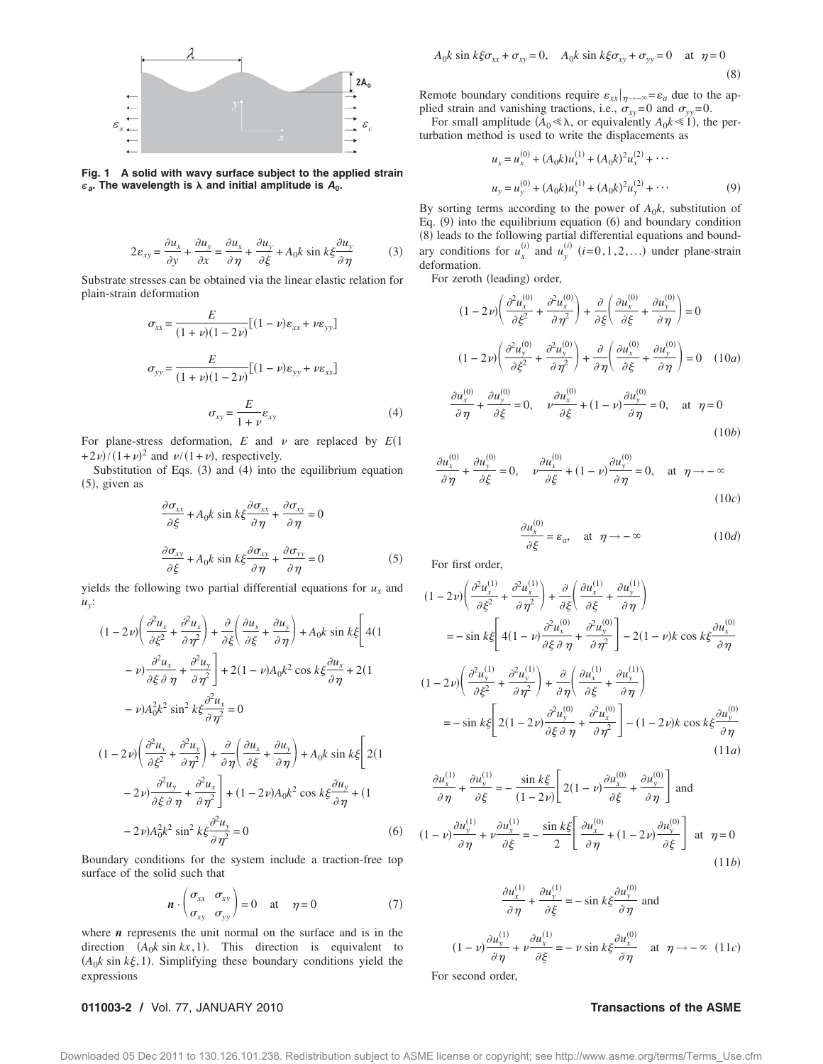

**Fig. 1 A solid with wavy surface subject to the applied strain** *ε***<sub>a</sub>. The wavelength is** λ and initial amplitude is  $A_0$ .

$$
2\varepsilon_{xy} = \frac{\partial u_x}{\partial y} + \frac{\partial u_y}{\partial x} = \frac{\partial u_x}{\partial \eta} + \frac{\partial u_y}{\partial \xi} + A_0 k \sin k \xi \frac{\partial u_y}{\partial \eta}
$$
 (3)

Substrate stresses can be obtained via the linear elastic relation for plain-strain deformation

$$
\sigma_{xx} = \frac{E}{(1+\nu)(1-2\nu)}[(1-\nu)\varepsilon_{xx} + \nu\varepsilon_{yy}]
$$

$$
\sigma_{yy} = \frac{E}{(1+\nu)(1-2\nu)}[(1-\nu)\varepsilon_{yy} + \nu\varepsilon_{xx}]
$$

$$
\sigma_{xy} = \frac{E}{1+\nu}\varepsilon_{xy}
$$
(4)

For plane-stress deformation,  $E$  and  $\nu$  are replaced by  $E(1)$ +2 $\nu$ )/(1+ $\nu$ )<sup>2</sup> and  $\nu$ /(1+ $\nu$ ), respectively.

Substitution of Eqs.  $(3)$  and  $(4)$  into the equilibrium equation -5, given as

$$
\frac{\partial \sigma_{xx}}{\partial \xi} + A_0 k \sin k \xi \frac{\partial \sigma_{xx}}{\partial \eta} + \frac{\partial \sigma_{xy}}{\partial \eta} = 0
$$
  

$$
\frac{\partial \sigma_{xy}}{\partial \xi} + A_0 k \sin k \xi \frac{\partial \sigma_{xy}}{\partial \eta} + \frac{\partial \sigma_{yy}}{\partial \eta} = 0
$$
 (5)

yields the following two partial differential equations for  $u_x$  and *uy*:

$$
(1-2\nu)\left(\frac{\partial^2 u_x}{\partial \xi^2} + \frac{\partial^2 u_x}{\partial \eta^2}\right) + \frac{\partial}{\partial \xi}\left(\frac{\partial u_x}{\partial \xi} + \frac{\partial u_y}{\partial \eta}\right) + A_0 k \sin k\xi \left[4(1 - \nu)\frac{\partial^2 u_x}{\partial \xi \partial \eta} + \frac{\partial^2 u_y}{\partial \eta^2}\right] + 2(1-\nu)A_0 k^2 \cos k\xi \frac{\partial u_x}{\partial \eta} + 2(1 - \nu)A_0^2 k^2 \sin^2 k\xi \frac{\partial^2 u_x}{\partial \eta^2} = 0
$$
  

$$
(1-2\nu)\left(\frac{\partial^2 u_y}{\partial \xi^2} + \frac{\partial^2 u_y}{\partial \eta^2}\right) + \frac{\partial}{\partial \eta}\left(\frac{\partial u_x}{\partial \xi} + \frac{\partial u_y}{\partial \eta}\right) + A_0 k \sin k\xi \left[2(1 - \nu)\frac{\partial^2 u_y}{\partial \xi \partial \eta} + \frac{\partial^2 u_x}{\partial \eta^2}\right] + (1-2\nu)A_0 k^2 \cos k\xi \frac{\partial u_y}{\partial \eta} + (1 - 2\nu)A_0^2 k^2 \sin^2 k\xi \frac{\partial^2 u_y}{\partial \eta^2} = 0
$$
 (6)

Boundary conditions for the system include a traction-free top surface of the solid such that

$$
\boldsymbol{n} \cdot \begin{pmatrix} \sigma_{xx} & \sigma_{xy} \\ \sigma_{xy} & \sigma_{yy} \end{pmatrix} = 0 \quad \text{at} \quad \boldsymbol{\eta} = 0 \tag{7}
$$

where  *represents the unit normal on the surface and is in the* direction  $(A_0 k \sin kx, 1)$ . This direction is equivalent to  $(A_0 k \sin k \xi, 1)$ . Simplifying these boundary conditions yield the expressions

$$
A_0 k \sin k \xi \sigma_{xx} + \sigma_{xy} = 0, \quad A_0 k \sin k \xi \sigma_{xy} + \sigma_{yy} = 0 \quad \text{at} \quad \eta = 0
$$
\n(8)

Remote boundary conditions require  $\varepsilon_{xx}|_{\eta \to -\infty} = \varepsilon_a$  due to the applied strain and vanishing tractions, i.e.,  $\sigma_{xy} = 0$  and  $\sigma_{yy} = 0$ .

For small amplitude  $(A_0 \le \lambda)$ , or equivalently  $A_0 k \le 1$ , the perturbation method is used to write the displacements as

$$
u_x = u_x^{(0)} + (A_0 k)u_x^{(1)} + (A_0 k)^2 u_x^{(2)} + \cdots
$$
  

$$
u_y = u_y^{(0)} + (A_0 k)u_y^{(1)} + (A_0 k)^2 u_y^{(2)} + \cdots
$$
 (9)

By sorting terms according to the power of  $A_0k$ , substitution of Eq.  $(9)$  into the equilibrium equation  $(6)$  and boundary condition -8 leads to the following partial differential equations and boundary conditions for  $u_x^{(i)}$  and  $u_y^{(i)}$  (*i*=0,1,2,...) under plane-strain deformation.

For zeroth (leading) order,

$$
(1 - 2\nu) \left( \frac{\partial^2 u_x^{(0)}}{\partial \xi^2} + \frac{\partial^2 u_x^{(0)}}{\partial \eta^2} \right) + \frac{\partial}{\partial \xi} \left( \frac{\partial u_x^{(0)}}{\partial \xi} + \frac{\partial u_y^{(0)}}{\partial \eta} \right) = 0
$$
  

$$
(1 - 2\nu) \left( \frac{\partial^2 u_y^{(0)}}{\partial \xi^2} + \frac{\partial^2 u_y^{(0)}}{\partial \eta^2} \right) + \frac{\partial}{\partial \eta} \left( \frac{\partial u_x^{(0)}}{\partial \xi} + \frac{\partial u_y^{(0)}}{\partial \eta} \right) = 0 \quad (10a)
$$

$$
\frac{\partial u_x^{(0)}}{\partial \eta} + \frac{\partial u_y^{(0)}}{\partial \xi} = 0, \quad \nu \frac{\partial u_x^{(0)}}{\partial \xi} + (1 - \nu) \frac{\partial u_y^{(0)}}{\partial \eta} = 0, \quad \text{at} \quad \eta = 0
$$
\n(10b)

$$
\frac{\partial u_x^{(0)}}{\partial \eta} + \frac{\partial u_y^{(0)}}{\partial \xi} = 0, \quad \nu \frac{\partial u_x^{(0)}}{\partial \xi} + (1 - \nu) \frac{\partial u_y^{(0)}}{\partial \eta} = 0, \quad \text{at} \quad \eta \to -\infty
$$
\n(10*c*)

$$
\frac{\partial u_x^{(0)}}{\partial \xi} = \varepsilon_a, \quad \text{at} \quad \eta \to -\infty \tag{10d}
$$

For first order,

 $\overline{(}$ 

$$
(1 - 2\nu) \left( \frac{\partial^2 u_x^{(1)}}{\partial \xi^2} + \frac{\partial^2 u_x^{(1)}}{\partial \eta^2} \right) + \frac{\partial}{\partial \xi} \left( \frac{\partial u_x^{(1)}}{\partial \xi} + \frac{\partial u_y^{(1)}}{\partial \eta} \right)
$$
  

$$
= -\sin k \xi \left[ 4(1 - \nu) \frac{\partial^2 u_x^{(0)}}{\partial \xi \partial \eta} + \frac{\partial^2 u_y^{(0)}}{\partial \eta^2} \right] - 2(1 - \nu) k \cos k \xi \frac{\partial u_x^{(0)}}{\partial \eta}
$$
  

$$
(1 - 2\nu) \left( \frac{\partial^2 u_y^{(1)}}{\partial \xi^2} + \frac{\partial^2 u_y^{(1)}}{\partial \eta^2} \right) + \frac{\partial}{\partial \eta} \left( \frac{\partial u_x^{(1)}}{\partial \xi} + \frac{\partial u_y^{(1)}}{\partial \eta} \right)
$$

$$
\begin{aligned}\n &\quad \left( \begin{array}{cc} \frac{\partial \xi^2}{\partial \eta^2} & \frac{\partial \eta}{\partial \eta} \end{array} \right) \\
&= -\sin k \xi \left[ 2(1 - 2\nu) \frac{\partial^2 u_y^{(0)}}{\partial \xi \partial \eta} + \frac{\partial^2 u_x^{(0)}}{\partial \eta^2} \right] - (1 - 2\nu)k \cos k \xi \frac{\partial u_y^{(0)}}{\partial \eta} \\
&\quad (11a)\n \end{aligned}\n \end{aligned}
$$

$$
\frac{\partial u_x^{(1)}}{\partial \eta} + \frac{\partial u_y^{(1)}}{\partial \xi} = -\frac{\sin k\xi}{(1 - 2\nu)} \left[ 2(1 - \nu) \frac{\partial u_x^{(0)}}{\partial \xi} + \frac{\partial u_y^{(0)}}{\partial \eta} \right] \text{ and}
$$
  

$$
(1 - \nu) \frac{\partial u_y^{(1)}}{\partial \eta} + \nu \frac{\partial u_x^{(1)}}{\partial \xi} = -\frac{\sin k\xi}{2} \left[ \frac{\partial u_x^{(0)}}{\partial \eta} + (1 - 2\nu) \frac{\partial u_y^{(0)}}{\partial \xi} \right] \text{ at } \eta = 0
$$
  
(11*b*)

$$
\frac{\partial u_x^{(1)}}{\partial \eta} + \frac{\partial u_y^{(1)}}{\partial \xi} = -\sin k \xi \frac{\partial u_y^{(0)}}{\partial \eta} \text{ and}
$$
  

$$
(1 - \nu) \frac{\partial u_y^{(1)}}{\partial \eta} + \nu \frac{\partial u_x^{(1)}}{\partial \xi} = -\nu \sin k \xi \frac{\partial u_x^{(0)}}{\partial \eta} \text{ at } \eta \to -\infty \text{ (11c)}
$$

For second order,

#### **Transactions of the ASME**

Downloaded 05 Dec 2011 to 130.126.101.238. Redistribution subject to ASME license or copyright; see http://www.asme.org/terms/Terms\_Use.cfm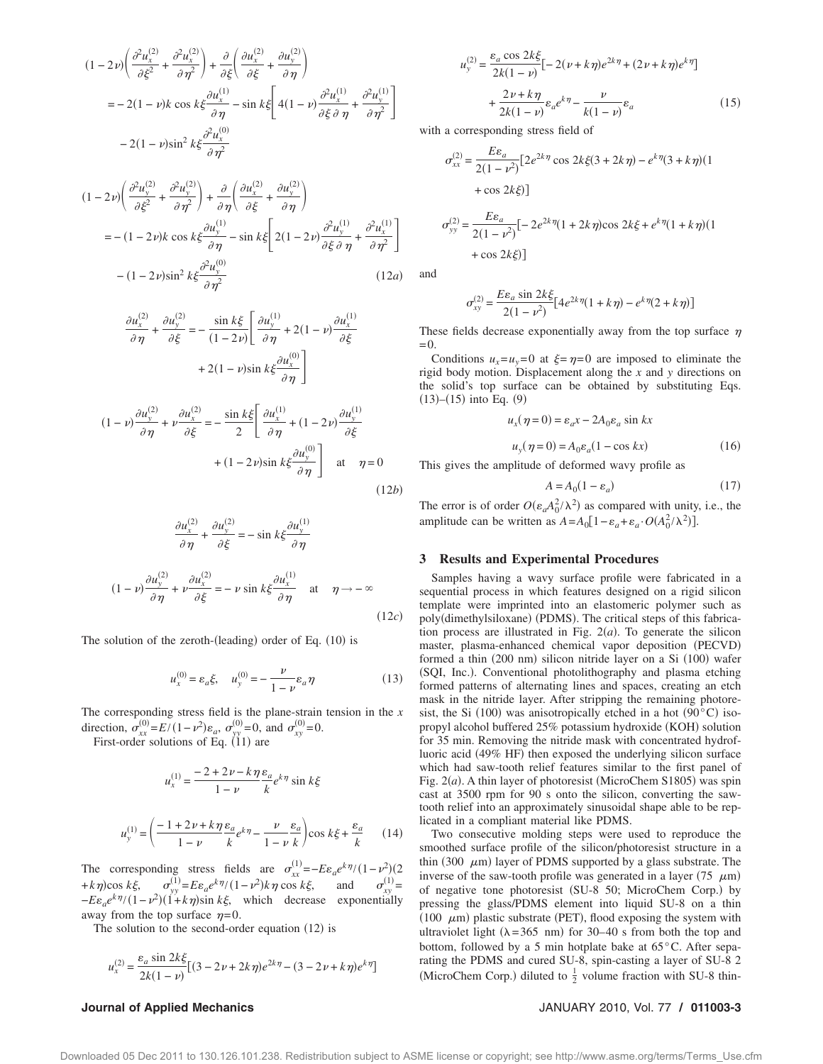$$
(1 - 2\nu) \left( \frac{\partial^2 u_x^{(2)}}{\partial \xi^2} + \frac{\partial^2 u_x^{(2)}}{\partial \eta^2} \right) + \frac{\partial}{\partial \xi} \left( \frac{\partial u_x^{(2)}}{\partial \xi} + \frac{\partial u_y^{(2)}}{\partial \eta} \right)
$$
  
=  $-2(1 - \nu)k \cos k \xi \frac{\partial u_x^{(1)}}{\partial \eta} - \sin k \xi \left[ 4(1 - \nu) \frac{\partial^2 u_x^{(1)}}{\partial \xi \partial \eta} + \frac{\partial^2 u_y^{(1)}}{\partial \eta^2} \right]$   
 $- 2(1 - \nu) \sin^2 k \xi \frac{\partial^2 u_x^{(0)}}{\partial \eta^2}$ 

$$
(1 - 2\nu) \left( \frac{\partial^2 u_y^{(2)}}{\partial \xi^2} + \frac{\partial^2 u_y^{(2)}}{\partial \eta^2} \right) + \frac{\partial}{\partial \eta} \left( \frac{\partial u_x^{(2)}}{\partial \xi} + \frac{\partial u_y^{(2)}}{\partial \eta} \right)
$$
  
= - (1 - 2\nu)k cos k\xi  $\frac{\partial u_y^{(1)}}{\partial \eta}$  - sin k\xi  $\left[ 2(1 - 2\nu) \frac{\partial^2 u_y^{(1)}}{\partial \xi \partial \eta} + \frac{\partial^2 u_x^{(1)}}{\partial \eta^2} \right]$   
- (1 - 2\nu)sin<sup>2</sup> k\xi  $\frac{\partial^2 u_y^{(0)}}{\partial \eta^2}$  (12*a*)

$$
\frac{\partial u_x^{(2)}}{\partial \eta} + \frac{\partial u_y^{(2)}}{\partial \xi} = -\frac{\sin k\xi}{(1 - 2\nu)} \left[ \frac{\partial u_y^{(1)}}{\partial \eta} + 2(1 - \nu) \frac{\partial u_x^{(1)}}{\partial \xi} + 2(1 - \nu)\sin k\xi \frac{\partial u_y^{(0)}}{\partial \eta} \right]
$$
  
+2(1 - \nu)\sin k\xi \frac{\partial u\_x^{(0)}}{\partial \eta}   
 
$$
(1 - \nu)\frac{\partial u_y^{(2)}}{\partial \eta} + \nu \frac{\partial u_x^{(2)}}{\partial \xi} = -\frac{\sin k\xi}{2} \left[ \frac{\partial u_x^{(1)}}{\partial \eta} + (1 - 2\nu) \frac{\partial u_y^{(1)}}{\partial \xi} + (1 - 2\nu)\sin k\xi \frac{\partial u_y^{(0)}}{\partial \eta} \right] \text{ at } \eta = 0
$$
  
(12*b*)

$$
\frac{\partial u_x^{(2)}}{\partial \eta} + \frac{\partial u_y^{(2)}}{\partial \xi} = -\sin k \xi \frac{\partial u_y^{(1)}}{\partial \eta}
$$
  

$$
(1 - \nu) \frac{\partial u_y^{(2)}}{\partial \eta} + \nu \frac{\partial u_x^{(2)}}{\partial \xi} = -\nu \sin k \xi \frac{\partial u_x^{(1)}}{\partial \eta} \quad \text{at} \quad \eta \to -\infty
$$
  
(12*c*)

The solution of the zeroth- $(leading)$  order of Eq.  $(10)$  is

$$
u_x^{(0)} = \varepsilon_a \xi, \quad u_y^{(0)} = -\frac{\nu}{1 - \nu} \varepsilon_a \eta \tag{13}
$$

The corresponding stress field is the plane-strain tension in the *x* direction,  $\sigma_{xx}^{(0)} = E/(1 - \nu^2) \varepsilon_a$ ,  $\sigma_{yy}^{(0)} = 0$ , and  $\sigma_{xy}^{(0)} = 0$ .

First-order solutions of Eq.  $(11)$  are

$$
u_x^{(1)} = \frac{-2 + 2\nu - k\eta \varepsilon_a}{1 - \nu} \frac{\varepsilon_a}{k} e^{k\eta} \sin k\xi
$$

$$
u_y^{(1)} = \left(\frac{-1 + 2\nu + k\eta \varepsilon_a}{1 - \nu} \frac{\varepsilon_a}{k} e^{k\eta} - \frac{\nu}{1 - \nu} \frac{\varepsilon_a}{k}\right) \cos k\xi + \frac{\varepsilon_a}{k} \qquad (14)
$$

The corresponding stress fields are  $\sigma_{xx}^{(1)} = -E\varepsilon_a e^{k\eta}/(1-\nu^2)(2$  $+k\eta$ )cos  $k\xi$ ,  $\sigma_{yy}^{(1)} = E \varepsilon_a e^{k\eta} / (1 - \nu^2) k\eta \cos k\xi$ , and  $\sigma_{xy}^{(1)}$  $\frac{(1)}{1}$  $-E\varepsilon_a e^{k\eta}/(1-\nu^2)(1+k\eta)\sin k\xi$ , which decrease exponentially away from the top surface  $\eta=0$ .

The solution to the second-order equation  $(12)$  is

$$
u_x^{(2)} = \frac{\varepsilon_a \sin 2k \xi}{2k(1 - v)} [(3 - 2v + 2k\eta)e^{2k\eta} - (3 - 2v + k\eta)e^{k\eta}]
$$

$$
u_{y}^{(2)} = \frac{\varepsilon_{a} \cos 2k\xi}{2k(1 - \nu)} [-2(\nu + k\eta)e^{2k\eta} + (2\nu + k\eta)e^{k\eta}] + \frac{2\nu + k\eta}{2k(1 - \nu)} \varepsilon_{a} e^{k\eta} - \frac{\nu}{k(1 - \nu)} \varepsilon_{a}
$$
(15)

with a corresponding stress field of

$$
\sigma_{xx}^{(2)} = \frac{E\varepsilon_a}{2(1 - \nu^2)} [2e^{2k\eta} \cos 2k\xi(3 + 2k\eta) - e^{k\eta}(3 + k\eta)(1 + \cos 2k\xi)]
$$
  
+ cos 2k\xi)]  

$$
\sigma_{yy}^{(2)} = \frac{E\varepsilon_a}{2(1 - \nu^2)} [-2e^{2k\eta}(1 + 2k\eta)\cos 2k\xi + e^{k\eta}(1 + k\eta)(1 + \cos 2k\xi)]
$$

and

$$
\sigma_{xy}^{(2)} = \frac{E\varepsilon_a \sin 2k\xi}{2(1 - v^2)} [4e^{2k\eta}(1 + k\eta) - e^{k\eta}(2 + k\eta)]
$$

These fields decrease exponentially away from the top surface  $\eta$  $=0$ 

Conditions  $u_x = u_y = 0$  at  $\xi = \eta = 0$  are imposed to eliminate the rigid body motion. Displacement along the *x* and *y* directions on the solid's top surface can be obtained by substituting Eqs.  $(13)$ – $(15)$  into Eq.  $(9)$ 

$$
u_x(\eta = 0) = \varepsilon_a x - 2A_0 \varepsilon_a \sin kx
$$
  

$$
u_y(\eta = 0) = A_0 \varepsilon_a (1 - \cos kx)
$$
 (16)  
amplitude of deformed wavy profile as

This gives the amplitude of deformed wavy profile as *A* = *A*0-

$$
=A_0(1-\varepsilon_a)\tag{17}
$$

The error is of order  $O(\varepsilon_a A_0^2/\lambda^2)$  as compared with unity, i.e., the amplitude can be written as  $A = A_0[1 - \varepsilon_a + \varepsilon_a \cdot O(A_0^2/\lambda^2)].$ 

### **3 Results and Experimental Procedures**

Samples having a wavy surface profile were fabricated in a sequential process in which features designed on a rigid silicon template were imprinted into an elastomeric polymer such as poly(dimethylsiloxane) (PDMS). The critical steps of this fabrication process are illustrated in Fig.  $2(a)$ . To generate the silicon master, plasma-enhanced chemical vapor deposition (PECVD) formed a thin (200 nm) silicon nitride layer on a Si (100) wafer (SQI, Inc.). Conventional photolithography and plasma etching formed patterns of alternating lines and spaces, creating an etch mask in the nitride layer. After stripping the remaining photoresist, the Si (100) was anisotropically etched in a hot  $(90^{\circ}C)$  isopropyl alcohol buffered 25% potassium hydroxide (KOH) solution for 35 min. Removing the nitride mask with concentrated hydrofluoric acid (49% HF) then exposed the underlying silicon surface which had saw-tooth relief features similar to the first panel of Fig. 2(a). A thin layer of photoresist (MicroChem S1805) was spin cast at 3500 rpm for 90 s onto the silicon, converting the sawtooth relief into an approximately sinusoidal shape able to be replicated in a compliant material like PDMS.

Two consecutive molding steps were used to reproduce the smoothed surface profile of the silicon/photoresist structure in a thin (300  $\mu$ m) layer of PDMS supported by a glass substrate. The inverse of the saw-tooth profile was generated in a layer (75  $\,\mu$ m) of negative tone photoresist (SU-8 50; MicroChem Corp.) by pressing the glass/PDMS element into liquid SU-8 on a thin (100  $\mu$ m) plastic substrate (PET), flood exposing the system with ultraviolet light ( $\lambda = 365$  nm) for 30–40 s from both the top and bottom, followed by a 5 min hotplate bake at 65°C. After separating the PDMS and cured SU-8, spin-casting a layer of SU-8 2 (MicroChem Corp.) diluted to  $\frac{1}{2}$  volume fraction with SU-8 thin-

#### **Journal of Applied Mechanics** JANUARY 2010, Vol. 77 **/ 011003-3**

Downloaded 05 Dec 2011 to 130.126.101.238. Redistribution subject to ASME license or copyright; see http://www.asme.org/terms/Terms\_Use.cfm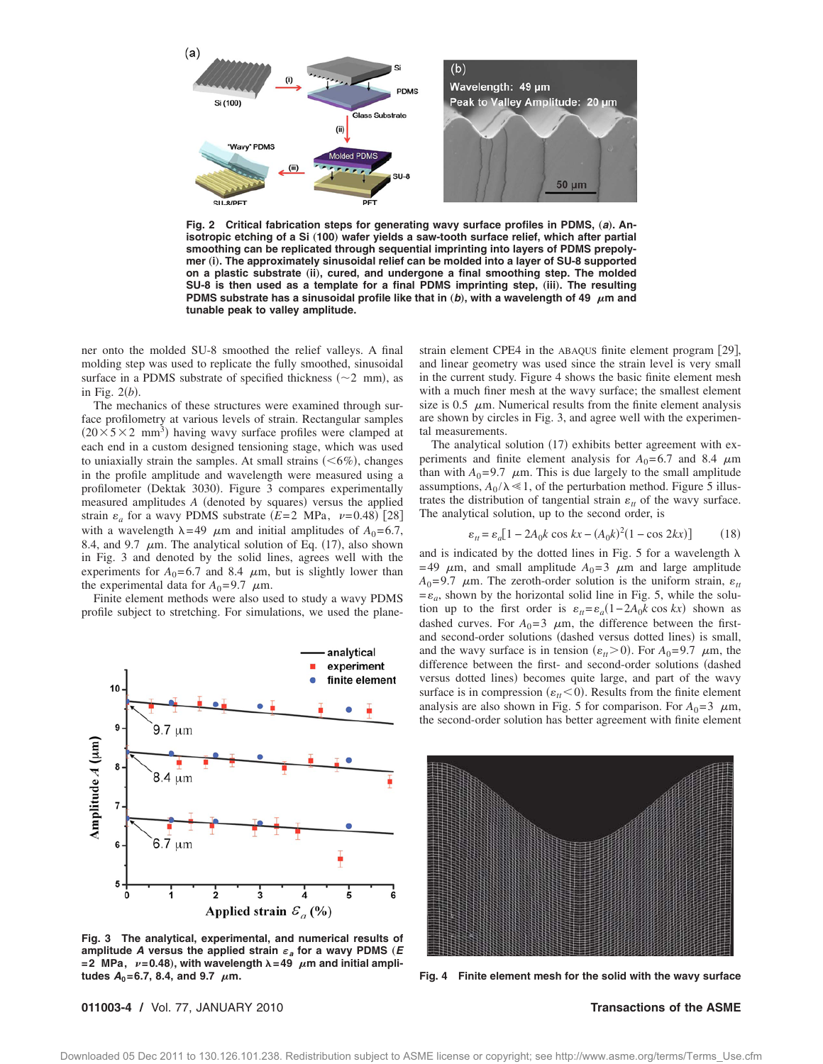

Fig. 2 Critical fabrication steps for generating wavy surface profiles in PDMS, (a). Anisotropic etching of a Si (100) wafer yields a saw-tooth surface relief, which after partial **smoothing can be replicated through sequential imprinting into layers of PDMS prepolymer** "**i**…**. The approximately sinusoidal relief can be molded into a layer of SU-8 supported** on a plastic substrate (ii), cured, and undergone a final smoothing step. The molded SU-8 is then used as a template for a final PDMS imprinting step, (iii). The resulting **PDMS** substrate has a sinusoidal profile like that in  $(b)$ , with a wavelength of 49  $\mu$ m and **tunable peak to valley amplitude.**

ner onto the molded SU-8 smoothed the relief valleys. A final molding step was used to replicate the fully smoothed, sinusoidal surface in a PDMS substrate of specified thickness  $(\sim 2$  mm), as in Fig.  $2(b)$ .

The mechanics of these structures were examined through surface profilometry at various levels of strain. Rectangular samples  $(20 \times 5 \times 2 \text{ mm}^3)$  having wavy surface profiles were clamped at each end in a custom designed tensioning stage, which was used to uniaxially strain the samples. At small strains  $(<6\%)$ , changes in the profile amplitude and wavelength were measured using a profilometer (Dektak 3030). Figure 3 compares experimentally measured amplitudes *A* (denoted by squares) versus the applied strain  $\varepsilon_a$  for a wavy PDMS substrate  $(E=2 \text{ MPa}, \nu=0.48)$  [28] with a wavelength  $\lambda = 49$   $\mu$ m and initial amplitudes of  $A_0 = 6.7$ , 8.4, and 9.7  $\mu$ m. The analytical solution of Eq. (17), also shown in Fig. 3 and denoted by the solid lines, agrees well with the experiments for  $A_0$ =6.7 and 8.4  $\mu$ m, but is slightly lower than the experimental data for  $A_0 = 9.7$   $\mu$ m.

Finite element methods were also used to study a wavy PDMS profile subject to stretching. For simulations, we used the plane-



**Fig. 3 The analytical, experimental, and numerical results of amplitude** *A* versus the applied strain  $\varepsilon$ <sub>a</sub> for a wavy PDMS (*E*  $=$  2 MPa,  $\nu$ =0.48), with wavelength  $\lambda$ =49  $\mu$ m and initial ampli**tudes** *A***0=6.7, 8.4, and 9.7 m. Fig. 4 Finite element mesh for the solid with the wavy surface**

strain element CPE4 in the ABAQUS finite element program [29], and linear geometry was used since the strain level is very small in the current study. Figure 4 shows the basic finite element mesh with a much finer mesh at the wavy surface; the smallest element size is 0.5  $\mu$ m. Numerical results from the finite element analysis are shown by circles in Fig. 3, and agree well with the experimental measurements.

The analytical solution (17) exhibits better agreement with experiments and finite element analysis for  $A_0 = 6.7$  and 8.4  $\mu$ m than with  $A_0 = 9.7$   $\mu$ m. This is due largely to the small amplitude assumptions,  $A_0/\lambda \ll 1$ , of the perturbation method. Figure 5 illustrates the distribution of tangential strain  $\varepsilon$ <sub>tt</sub> of the wavy surface. The analytical solution, up to the second order, is

$$
\varepsilon_{tt} = \varepsilon_a [1 - 2A_0 k \cos kx - (A_0 k)^2 (1 - \cos 2kx)] \tag{18}
$$

and is indicated by the dotted lines in Fig. 5 for a wavelength  $\lambda$ = 49  $\mu$ m, and small amplitude  $A_0 = 3 \mu$ m and large amplitude  $A_0 = 9.7 \mu$ m. The zeroth-order solution is the uniform strain,  $\varepsilon_{tt}$  $=\varepsilon_a$ , shown by the horizontal solid line in Fig. 5, while the solution up to the first order is  $\varepsilon_{tt} = \varepsilon_a (1 - 2A_0 k \cos kx)$  shown as dashed curves. For  $A_0 = 3$   $\mu$ m, the difference between the firstand second-order solutions (dashed versus dotted lines) is small, and the wavy surface is in tension  $(\varepsilon_{tt} > 0)$ . For  $A_0 = 9.7$   $\mu$ m, the difference between the first- and second-order solutions (dashed versus dotted lines) becomes quite large, and part of the wavy surface is in compression  $(\varepsilon_{tt} < 0)$ . Results from the finite element analysis are also shown in Fig. 5 for comparison. For  $A_0 = 3$   $\mu$ m, the second-order solution has better agreement with finite element



### **011003-4 /** Vol. 77, JANUARY 2010 **Transactions of the ASME**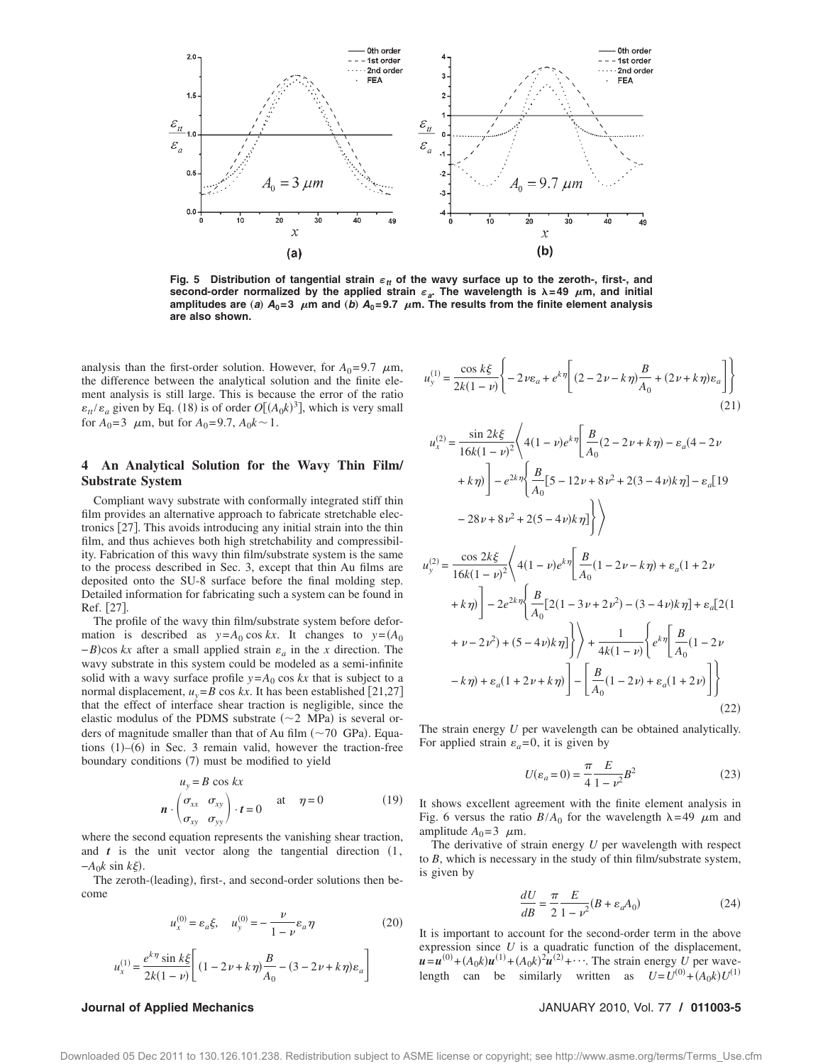

**Fig. 5 Distribution of tangential strain** *εtt* **of the wavy surface up to the zeroth-, first-, and second-order normalized by the applied strain**  $\varepsilon_a$ **. The wavelength is λ=49**  $\mu$ **m, and initial** amplitudes are (a)  $A_0=3$   $\mu$ m and (b)  $A_0=9.7$   $\mu$ m. The results from the finite element analysis **are also shown.**

analysis than the first-order solution. However, for  $A_0 = 9.7 \mu m$ , the difference between the analytical solution and the finite element analysis is still large. This is because the error of the ratio  $\varepsilon_{tt}/\varepsilon_a$  given by Eq. (18) is of order  $O[(A_0k)^3]$ , which is very small for  $A_0 = 3$   $\mu$ m, but for  $A_0 = 9.7$ ,  $A_0 k \sim 1$ .

## **4 An Analytical Solution for the Wavy Thin Film/ Substrate System**

Compliant wavy substrate with conformally integrated stiff thin film provides an alternative approach to fabricate stretchable electronics  $[27]$ . This avoids introducing any initial strain into the thin film, and thus achieves both high stretchability and compressibility. Fabrication of this wavy thin film/substrate system is the same to the process described in Sec. 3, except that thin Au films are deposited onto the SU-8 surface before the final molding step. Detailed information for fabricating such a system can be found in Ref. [27].

The profile of the wavy thin film/substrate system before deformation is described as  $y = A_0 \cos kx$ . It changes to  $y = (A_0$  $-B$ )cos *kx* after a small applied strain  $\varepsilon_a$  in the *x* direction. The wavy substrate in this system could be modeled as a semi-infinite solid with a wavy surface profile  $y = A_0 \cos kx$  that is subject to a normal displacement,  $u_y = B \cos kx$ . It has been established [21,27] that the effect of interface shear traction is negligible, since the elastic modulus of the PDMS substrate  $(\sim 2 \text{ MPa})$  is several orders of magnitude smaller than that of Au film  $(\sim 70 \text{ GPa})$ . Equations  $(1)$ – $(6)$  in Sec. 3 remain valid, however the traction-free boundary conditions (7) must be modified to yield

$$
u_y = B \cos kx
$$
  

$$
\mathbf{n} \cdot \begin{pmatrix} \sigma_{xx} & \sigma_{xy} \\ \sigma_{xy} & \sigma_{yy} \end{pmatrix} \cdot t = 0
$$
 at  $\eta = 0$  (19)

where the second equation represents the vanishing shear traction, and  $t$  is the unit vector along the tangential direction  $(1,$  $-A_0k$  sin  $k\xi$ ).

The zeroth-(leading), first-, and second-order solutions then become

$$
u_x^{(0)} = \varepsilon_a \xi, \quad u_y^{(0)} = -\frac{\nu}{1 - \nu} \varepsilon_a \eta \tag{20}
$$

$$
u_x^{(1)} = \frac{e^{k\eta} \sin k\xi}{2k(1-\nu)} \bigg[ (1 - 2\nu + k\eta) \frac{B}{A_0} - (3 - 2\nu + k\eta) \varepsilon_a \bigg]
$$

$$
u_y^{(1)} = \frac{\cos k\xi}{2k(1-\nu)} \left\{ -2\nu\varepsilon_a + e^{k\eta} \left[ (2 - 2\nu - k\eta) \frac{B}{A_0} + (2\nu + k\eta)\varepsilon_a \right] \right\}
$$
(21)

$$
u_x^{(2)} = \frac{\sin 2k\xi}{16k(1 - \nu)^2} \left\{ 4(1 - \nu)e^{k\eta} \left[ \frac{B}{A_0} (2 - 2\nu + k\eta) - \varepsilon_a (4 - 2\nu + k\eta) \right] - e^{2k\eta} \left\{ \frac{B}{A_0} [5 - 12\nu + 8\nu^2 + 2(3 - 4\nu)k\eta] - \varepsilon_a [19 - 28\nu + 8\nu^2 + 2(5 - 4\nu)k\eta] \right\} \right\}
$$
  

$$
u_y^{(2)} = \frac{\cos 2k\xi}{16k(1 - \nu)^2} \left\{ 4(1 - \nu)e^{k\eta} \left[ \frac{B}{A_0} (1 - 2\nu - k\eta) + \varepsilon_a (1 + 2\nu + k\eta) \right] - 2e^{2k\eta} \left\{ \frac{B}{A_0} [2(1 - 3\nu + 2\nu^2) - (3 - 4\nu)k\eta] + \varepsilon_a [2(1 - 3\nu + 2\nu^2) - (3 - 4\nu)k\eta] \right\} \right\}
$$

$$
+ k \eta \Big] - 2e^{2k\eta} \Big\{ \frac{2}{A_0} [2(1 - 3\nu + 2\nu^2) - (3 - 4\nu)k\eta] + \varepsilon_a [2(1 - 4\nu + \nu - 2\nu^2) + (5 - 4\nu)k\eta] \Big\} \Big\} + \frac{1}{4k(1 - \nu)} \Big\{ e^{k\eta} \Big[ \frac{B}{A_0} (1 - 2\nu + k\eta) + \varepsilon_a (1 + 2\nu + k\eta) \Big] - \Big[ \frac{B}{A_0} (1 - 2\nu) + \varepsilon_a (1 + 2\nu) \Big] \Big\}
$$
\n(22)

The strain energy *U* per wavelength can be obtained analytically. For applied strain  $\varepsilon_a = 0$ , it is given by

$$
U(\varepsilon_a = 0) = \frac{\pi}{4} \frac{E}{1 - \nu^2} B^2
$$
 (23)

It shows excellent agreement with the finite element analysis in Fig. 6 versus the ratio  $B/A_0$  for the wavelength  $\lambda = 49 \mu m$  and amplitude  $A_0 = 3$   $\mu$ m.

The derivative of strain energy *U* per wavelength with respect to *B*, which is necessary in the study of thin film/substrate system, is given by

$$
\frac{dU}{dB} = \frac{\pi}{2} \frac{E}{1 - \nu^2} (B + \varepsilon_a A_0)
$$
\n(24)

It is important to account for the second-order term in the above expression since *U* is a quadratic function of the displacement,  $u = u^{(0)} + (A_0 k)u^{(1)} + (A_0 k)^2 u^{(2)} + \cdots$ . The strain energy *U* per wavelength can be similarly written as  $U = U^{(0)} + (A_0 k)U^{(1)}$ 

#### **Journal of Applied Mechanics** JANUARY 2010, Vol. 77 **/ 011003-5**

Downloaded 05 Dec 2011 to 130.126.101.238. Redistribution subject to ASME license or copyright; see http://www.asme.org/terms/Terms\_Use.cfm